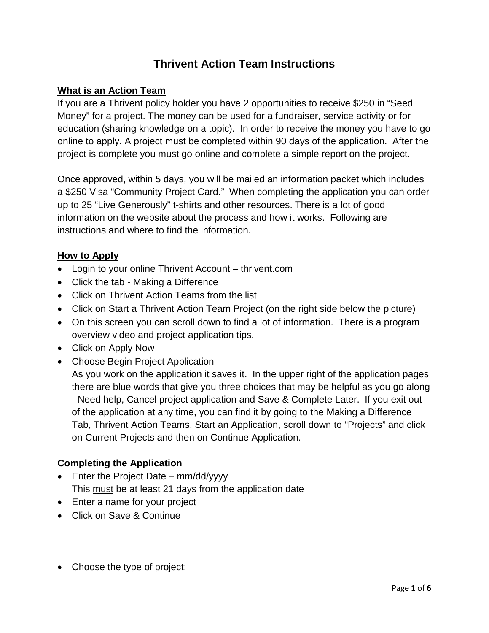# **Thrivent Action Team Instructions**

## **What is an Action Team**

If you are a Thrivent policy holder you have 2 opportunities to receive \$250 in "Seed Money" for a project. The money can be used for a fundraiser, service activity or for education (sharing knowledge on a topic). In order to receive the money you have to go online to apply. A project must be completed within 90 days of the application. After the project is complete you must go online and complete a simple report on the project.

Once approved, within 5 days, you will be mailed an information packet which includes a \$250 Visa "Community Project Card." When completing the application you can order up to 25 "Live Generously" t-shirts and other resources. There is a lot of good information on the website about the process and how it works. Following are instructions and where to find the information.

## **How to Apply**

- Login to your online Thrivent Account thrivent.com
- Click the tab Making a Difference
- Click on Thrivent Action Teams from the list
- Click on Start a Thrivent Action Team Project (on the right side below the picture)
- On this screen you can scroll down to find a lot of information. There is a program overview video and project application tips.
- Click on Apply Now
- Choose Begin Project Application

As you work on the application it saves it. In the upper right of the application pages there are blue words that give you three choices that may be helpful as you go along - Need help, Cancel project application and Save & Complete Later. If you exit out of the application at any time, you can find it by going to the Making a Difference Tab, Thrivent Action Teams, Start an Application, scroll down to "Projects" and click on Current Projects and then on Continue Application.

# **Completing the Application**

- Enter the Project Date mm/dd/yyyy This must be at least 21 days from the application date
- Enter a name for your project
- Click on Save & Continue
- Choose the type of project: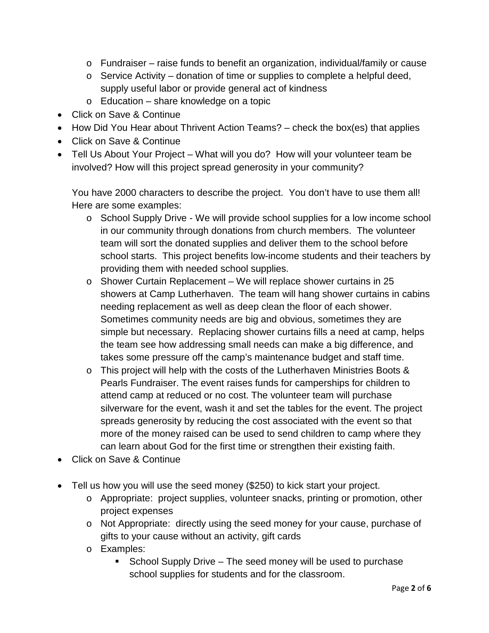- $\circ$  Fundraiser raise funds to benefit an organization, individual/family or cause
- o Service Activity donation of time or supplies to complete a helpful deed, supply useful labor or provide general act of kindness
- o Education share knowledge on a topic
- Click on Save & Continue
- How Did You Hear about Thrivent Action Teams? check the box(es) that applies
- Click on Save & Continue
- Tell Us About Your Project What will you do? How will your volunteer team be involved? How will this project spread generosity in your community?

You have 2000 characters to describe the project. You don't have to use them all! Here are some examples:

- o School Supply Drive We will provide school supplies for a low income school in our community through donations from church members. The volunteer team will sort the donated supplies and deliver them to the school before school starts. This project benefits low-income students and their teachers by providing them with needed school supplies.
- o Shower Curtain Replacement We will replace shower curtains in 25 showers at Camp Lutherhaven. The team will hang shower curtains in cabins needing replacement as well as deep clean the floor of each shower. Sometimes community needs are big and obvious, sometimes they are simple but necessary. Replacing shower curtains fills a need at camp, helps the team see how addressing small needs can make a big difference, and takes some pressure off the camp's maintenance budget and staff time.
- o This project will help with the costs of the Lutherhaven Ministries Boots & Pearls Fundraiser. The event raises funds for camperships for children to attend camp at reduced or no cost. The volunteer team will purchase silverware for the event, wash it and set the tables for the event. The project spreads generosity by reducing the cost associated with the event so that more of the money raised can be used to send children to camp where they can learn about God for the first time or strengthen their existing faith.
- Click on Save & Continue
- Tell us how you will use the seed money (\$250) to kick start your project.
	- o Appropriate: project supplies, volunteer snacks, printing or promotion, other project expenses
	- o Not Appropriate: directly using the seed money for your cause, purchase of gifts to your cause without an activity, gift cards
	- o Examples:
		- School Supply Drive The seed money will be used to purchase school supplies for students and for the classroom.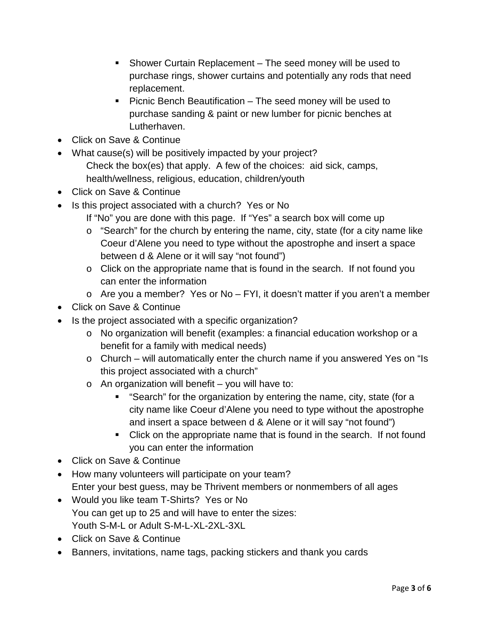- Shower Curtain Replacement The seed money will be used to purchase rings, shower curtains and potentially any rods that need replacement.
- **Picnic Bench Beautification The seed money will be used to** purchase sanding & paint or new lumber for picnic benches at Lutherhaven.
- Click on Save & Continue
- What cause(s) will be positively impacted by your project? Check the box(es) that apply. A few of the choices: aid sick, camps, health/wellness, religious, education, children/youth
- Click on Save & Continue
- Is this project associated with a church? Yes or No
	- If "No" you are done with this page. If "Yes" a search box will come up
	- o "Search" for the church by entering the name, city, state (for a city name like Coeur d'Alene you need to type without the apostrophe and insert a space between d & Alene or it will say "not found")
	- o Click on the appropriate name that is found in the search. If not found you can enter the information
	- o Are you a member? Yes or No FYI, it doesn't matter if you aren't a member
- Click on Save & Continue
- Is the project associated with a specific organization?
	- o No organization will benefit (examples: a financial education workshop or a benefit for a family with medical needs)
	- o Church will automatically enter the church name if you answered Yes on "Is this project associated with a church"
	- $\circ$  An organization will benefit you will have to:
		- "Search" for the organization by entering the name, city, state (for a city name like Coeur d'Alene you need to type without the apostrophe and insert a space between d & Alene or it will say "not found")
		- Click on the appropriate name that is found in the search. If not found you can enter the information
- Click on Save & Continue
- How many volunteers will participate on your team? Enter your best guess, may be Thrivent members or nonmembers of all ages
- Would you like team T-Shirts? Yes or No You can get up to 25 and will have to enter the sizes: Youth S-M-L or Adult S-M-L-XL-2XL-3XL
- Click on Save & Continue
- Banners, invitations, name tags, packing stickers and thank you cards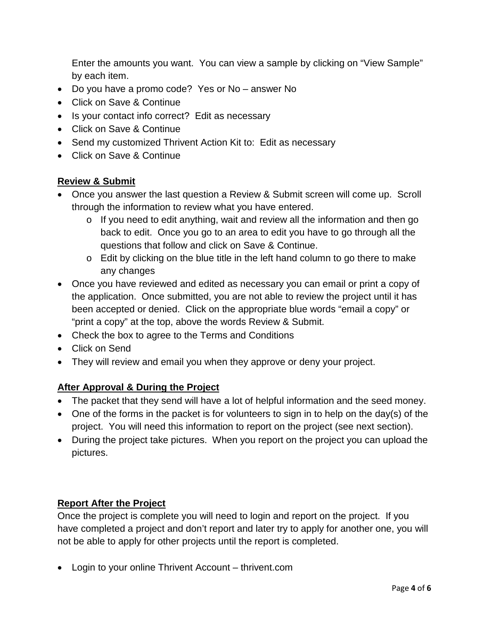Enter the amounts you want. You can view a sample by clicking on "View Sample" by each item.

- Do you have a promo code? Yes or No answer No
- Click on Save & Continue
- Is your contact info correct? Edit as necessary
- Click on Save & Continue
- Send my customized Thrivent Action Kit to: Edit as necessary
- Click on Save & Continue

# **Review & Submit**

- Once you answer the last question a Review & Submit screen will come up. Scroll through the information to review what you have entered.
	- o If you need to edit anything, wait and review all the information and then go back to edit. Once you go to an area to edit you have to go through all the questions that follow and click on Save & Continue.
	- o Edit by clicking on the blue title in the left hand column to go there to make any changes
- Once you have reviewed and edited as necessary you can email or print a copy of the application. Once submitted, you are not able to review the project until it has been accepted or denied. Click on the appropriate blue words "email a copy" or "print a copy" at the top, above the words Review & Submit.
- Check the box to agree to the Terms and Conditions
- Click on Send
- They will review and email you when they approve or deny your project.

# **After Approval & During the Project**

- The packet that they send will have a lot of helpful information and the seed money.
- One of the forms in the packet is for volunteers to sign in to help on the day(s) of the project. You will need this information to report on the project (see next section).
- During the project take pictures. When you report on the project you can upload the pictures.

# **Report After the Project**

Once the project is complete you will need to login and report on the project. If you have completed a project and don't report and later try to apply for another one, you will not be able to apply for other projects until the report is completed.

• Login to your online Thrivent Account – thrivent.com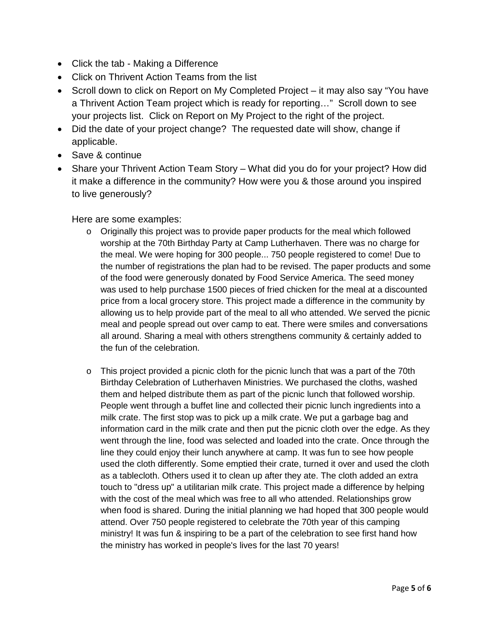- Click the tab Making a Difference
- Click on Thrivent Action Teams from the list
- Scroll down to click on Report on My Completed Project it may also say "You have a Thrivent Action Team project which is ready for reporting…" Scroll down to see your projects list. Click on Report on My Project to the right of the project.
- Did the date of your project change? The requested date will show, change if applicable.
- Save & continue
- Share your Thrivent Action Team Story What did you do for your project? How did it make a difference in the community? How were you & those around you inspired to live generously?

#### Here are some examples:

- $\circ$  Originally this project was to provide paper products for the meal which followed worship at the 70th Birthday Party at Camp Lutherhaven. There was no charge for the meal. We were hoping for 300 people... 750 people registered to come! Due to the number of registrations the plan had to be revised. The paper products and some of the food were generously donated by Food Service America. The seed money was used to help purchase 1500 pieces of fried chicken for the meal at a discounted price from a local grocery store. This project made a difference in the community by allowing us to help provide part of the meal to all who attended. We served the picnic meal and people spread out over camp to eat. There were smiles and conversations all around. Sharing a meal with others strengthens community & certainly added to the fun of the celebration.
- $\circ$  This project provided a picnic cloth for the picnic lunch that was a part of the 70th Birthday Celebration of Lutherhaven Ministries. We purchased the cloths, washed them and helped distribute them as part of the picnic lunch that followed worship. People went through a buffet line and collected their picnic lunch ingredients into a milk crate. The first stop was to pick up a milk crate. We put a garbage bag and information card in the milk crate and then put the picnic cloth over the edge. As they went through the line, food was selected and loaded into the crate. Once through the line they could enjoy their lunch anywhere at camp. It was fun to see how people used the cloth differently. Some emptied their crate, turned it over and used the cloth as a tablecloth. Others used it to clean up after they ate. The cloth added an extra touch to "dress up" a utilitarian milk crate. This project made a difference by helping with the cost of the meal which was free to all who attended. Relationships grow when food is shared. During the initial planning we had hoped that 300 people would attend. Over 750 people registered to celebrate the 70th year of this camping ministry! It was fun & inspiring to be a part of the celebration to see first hand how the ministry has worked in people's lives for the last 70 years!